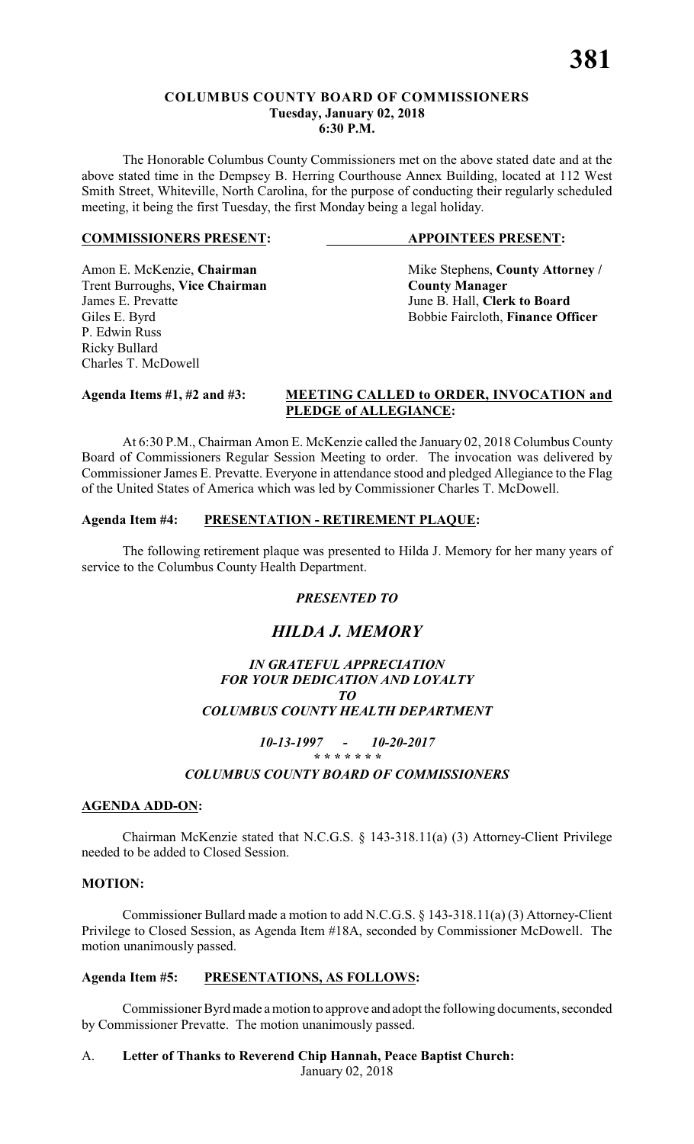# **COLUMBUS COUNTY BOARD OF COMMISSIONERS Tuesday, January 02, 2018 6:30 P.M.**

The Honorable Columbus County Commissioners met on the above stated date and at the above stated time in the Dempsey B. Herring Courthouse Annex Building, located at 112 West Smith Street, Whiteville, North Carolina, for the purpose of conducting their regularly scheduled meeting, it being the first Tuesday, the first Monday being a legal holiday.

# **COMMISSIONERS PRESENT: APPOINTEES PRESENT:**

Trent Burroughs, **Vice Chairman County Manager** James E. Prevatte June B. Hall, **Clerk to Board** P. Edwin Russ Ricky Bullard Charles T. McDowell

Amon E. McKenzie, **Chairman** Mike Stephens, **County Attorney** / Giles E. Byrd Bobbie Faircloth, **Finance Officer** 

# **Agenda Items #1, #2 and #3: MEETING CALLED to ORDER, INVOCATION and PLEDGE of ALLEGIANCE:**

At 6:30 P.M., Chairman Amon E. McKenzie called the January 02, 2018 Columbus County Board of Commissioners Regular Session Meeting to order. The invocation was delivered by Commissioner James E. Prevatte. Everyone in attendance stood and pledged Allegiance to the Flag of the United States of America which was led by Commissioner Charles T. McDowell.

# **Agenda Item #4: PRESENTATION - RETIREMENT PLAQUE:**

The following retirement plaque was presented to Hilda J. Memory for her many years of service to the Columbus County Health Department.

# *PRESENTED TO*

# *HILDA J. MEMORY*

# *IN GRATEFUL APPRECIATION FOR YOUR DEDICATION AND LOYALTY TO COLUMBUS COUNTY HEALTH DEPARTMENT*

# *10-13-1997 - 10-20-2017 \* \* \* \* \* \* \* COLUMBUS COUNTY BOARD OF COMMISSIONERS*

# **AGENDA ADD-ON:**

Chairman McKenzie stated that N.C.G.S. § 143-318.11(a) (3) Attorney-Client Privilege needed to be added to Closed Session.

# **MOTION:**

Commissioner Bullard made a motion to add N.C.G.S. § 143-318.11(a) (3) Attorney-Client Privilege to Closed Session, as Agenda Item #18A, seconded by Commissioner McDowell. The motion unanimously passed.

# **Agenda Item #5: PRESENTATIONS, AS FOLLOWS:**

Commissioner Byrd made a motion to approve and adopt the following documents, seconded by Commissioner Prevatte. The motion unanimously passed.

# A. **Letter of Thanks to Reverend Chip Hannah, Peace Baptist Church:**

January 02, 2018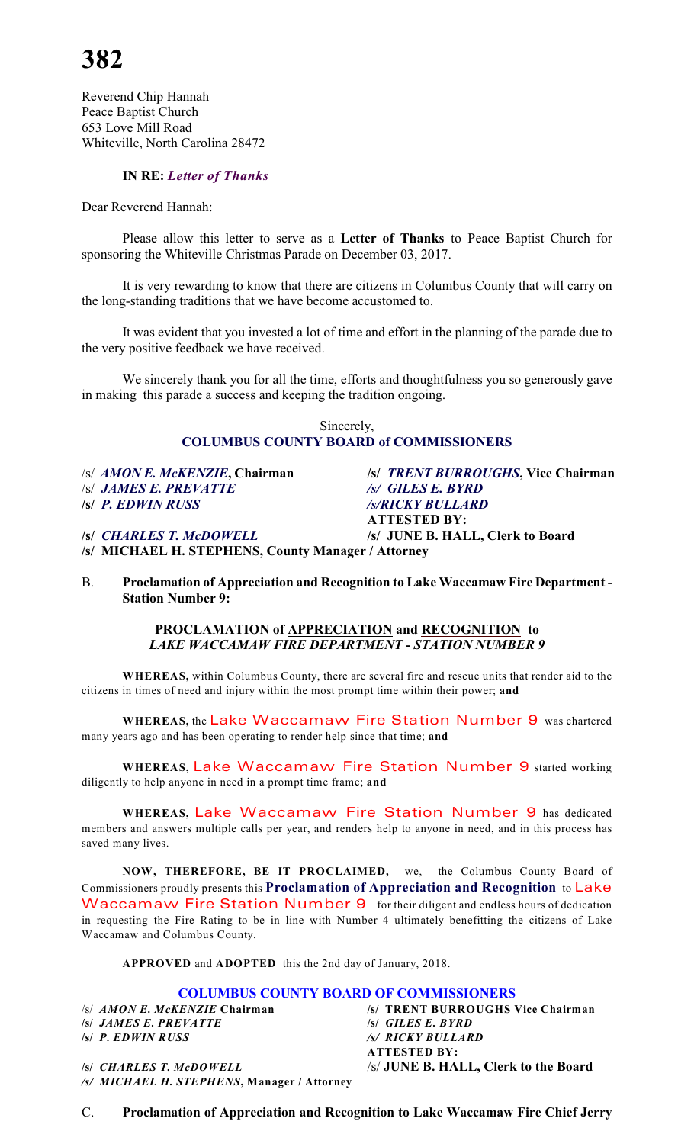Reverend Chip Hannah Peace Baptist Church 653 Love Mill Road Whiteville, North Carolina 28472

# **IN RE:** *Letter of Thanks*

Dear Reverend Hannah:

Please allow this letter to serve as a **Letter of Thanks** to Peace Baptist Church for sponsoring the Whiteville Christmas Parade on December 03, 2017.

It is very rewarding to know that there are citizens in Columbus County that will carry on the long-standing traditions that we have become accustomed to.

It was evident that you invested a lot of time and effort in the planning of the parade due to the very positive feedback we have received.

We sincerely thank you for all the time, efforts and thoughtfulness you so generously gave in making this parade a success and keeping the tradition ongoing.

#### Sincerely, **COLUMBUS COUNTY BOARD of COMMISSIONERS**

/s/ *AMON E. McKENZIE***, Chairman /s/** *TRENT BURROUGHS***, Vice Chairman** /s/ *JAMES E. PREVATTE /s/ GILES E. BYRD*

**/s/** *P. EDWIN RUSS /s/RICKY BULLARD* **ATTESTED BY: /s/** *CHARLES T. McDOWELL* **/s/ JUNE B. HALL, Clerk to Board /s/ MICHAEL H. STEPHENS, County Manager / Attorney**

B. **Proclamation of Appreciation and Recognition to Lake Waccamaw Fire Department - Station Number 9:**

#### **PROCLAMATION of APPRECIATION and RECOGNITION to** *LAKE WACCAMAW FIRE DEPARTMENT - STATION NUMBER 9*

**WHEREAS,** within Columbus County, there are several fire and rescue units that render aid to the citizens in times of need and injury within the most prompt time within their power; **and**

**WHEREAS,** the *Lake Waccamaw Fire Station Number 9* was chartered many years ago and has been operating to render help since that time; **and**

**WHEREAS,** *Lake Waccamaw Fire Station Number 9* started working diligently to help anyone in need in a prompt time frame; **and**

**WHEREAS,** *Lake Waccamaw Fire Station Number 9* has dedicated members and answers multiple calls per year, and renders help to anyone in need, and in this process has saved many lives.

**NOW, THEREFORE, BE IT PROCLAIMED,** we, the Columbus County Board of Commissioners proudly presents this **Proclamation of Appreciation and Recognition** to *Lake Waccamaw Fire Station Number 9* for their diligent and endless hours of dedication in requesting the Fire Rating to be in line with Number 4 ultimately benefitting the citizens of Lake Waccamaw and Columbus County.

**APPROVED** and **ADOPTED** this the 2nd day of January, 2018.

# **COLUMBUS COUNTY BOARD OF COMMISSIONERS**<br>/s/ AMON E. McKENZIE Chairman /s/ TRENT BURROUGHS

**/s/** *JAMES E. PREVATTE* **/s/** *GILES E. BYRD* **/s/** *P. EDWIN RUSS /s/ RICKY BULLARD*

/s/ TRENT BURROUGHS Vice Chairman **ATTESTED BY:**

**/s/** *CHARLES T. McDOWELL* /s/ **JUNE B. HALL, Clerk to the Board** */s/ MICHAEL H. STEPHENS***, Manager / Attorney**

C. **Proclamation of Appreciation and Recognition to Lake Waccamaw Fire Chief Jerry**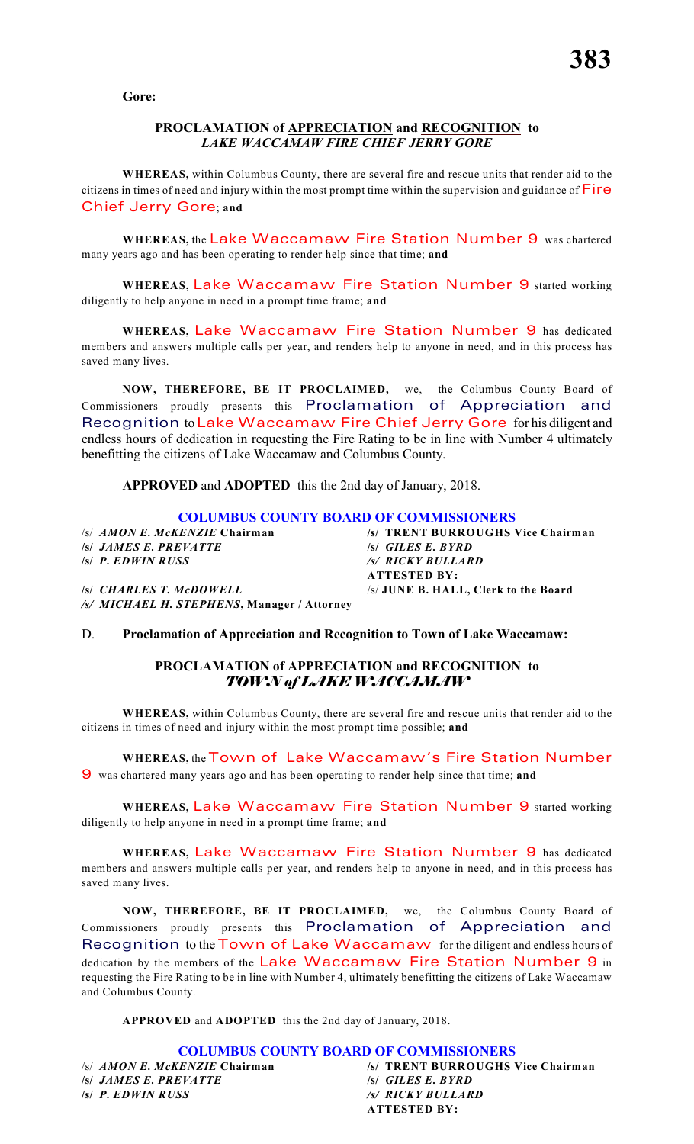**Gore:**

#### **PROCLAMATION of APPRECIATION and RECOGNITION to** *LAKE WACCAMAW FIRE CHIEF JERRY GORE*

**WHEREAS,** within Columbus County, there are several fire and rescue units that render aid to the citizens in times of need and injury within the most prompt time within the supervision and guidance of *Fire Chief Jerry Gore*; **and**

**WHEREAS,** the *Lake Waccamaw Fire Station Number 9* was chartered many years ago and has been operating to render help since that time; **and**

**WHEREAS,** *Lake Waccamaw Fire Station Number 9* started working diligently to help anyone in need in a prompt time frame; **and**

**WHEREAS,** *Lake Waccamaw Fire Station Number 9* has dedicated members and answers multiple calls per year, and renders help to anyone in need, and in this process has saved many lives.

**NOW, THEREFORE, BE IT PROCLAIMED,** we, the Columbus County Board of Commissioners proudly presents this Proclamation of Appreciation and Recognition to *Lake Waccamaw Fire Chief Jerry Gore* for his diligent and endless hours of dedication in requesting the Fire Rating to be in line with Number 4 ultimately benefitting the citizens of Lake Waccamaw and Columbus County.

**APPROVED** and **ADOPTED** this the 2nd day of January, 2018.

#### **COLUMBUS COUNTY BOARD OF COMMISSIONERS**

*/s/ JAMES E. PREVATTE /s/ P. EDWIN RUSS* 

*/s/ MICHAEL H. STEPHENS***, Manager / Attorney**

/s/ *AMON E. McKENZIE* **Chairman /s/ TRENT BURROUGHS Vice Chairman /s/** *P. EDWIN RUSS /s/ RICKY BULLARD* **ATTESTED BY: /s/** *CHARLES T. McDOWELL* /s/ **JUNE B. HALL, Clerk to the Board**

# D. **Proclamation of Appreciation and Recognition to Town of Lake Waccamaw:**

# **PROCLAMATION of APPRECIATION and RECOGNITION to** *TOWN of LAKE WACCAMAW*

**WHEREAS,** within Columbus County, there are several fire and rescue units that render aid to the citizens in times of need and injury within the most prompt time possible; **and**

**WHEREAS,** the *Town of Lake Waccamaw's Fire Station Number*

*9* was chartered many years ago and has been operating to render help since that time; **and**

**WHEREAS,** *Lake Waccamaw Fire Station Number 9* started working diligently to help anyone in need in a prompt time frame; **and**

**WHEREAS,** *Lake Waccamaw Fire Station Number 9* has dedicated members and answers multiple calls per year, and renders help to anyone in need, and in this process has saved many lives.

**NOW, THEREFORE, BE IT PROCLAIMED,** we, the Columbus County Board of Commissioners proudly presents this Proclamation of Appreciation and Recognition to the *Town of Lake Waccamaw* for the diligent and endless hours of dedication by the members of the *Lake Waccamaw Fire Station Number 9* in requesting the Fire Rating to be in line with Number 4, ultimately benefitting the citizens of Lake Waccamaw and Columbus County.

**APPROVED** and **ADOPTED** this the 2nd day of January, 2018.

**COLUMBUS COUNTY BOARD OF COMMISSIONERS** /s/ *AMON E. McKENZIE* **Chairman /s/ TRENT BURROUGHS Vice Chairman /s/** *JAMES E. PREVATTE* **/s/** *GILES E. BYRD* **/s/** *P. EDWIN RUSS /s/ RICKY BULLARD* **ATTESTED BY:**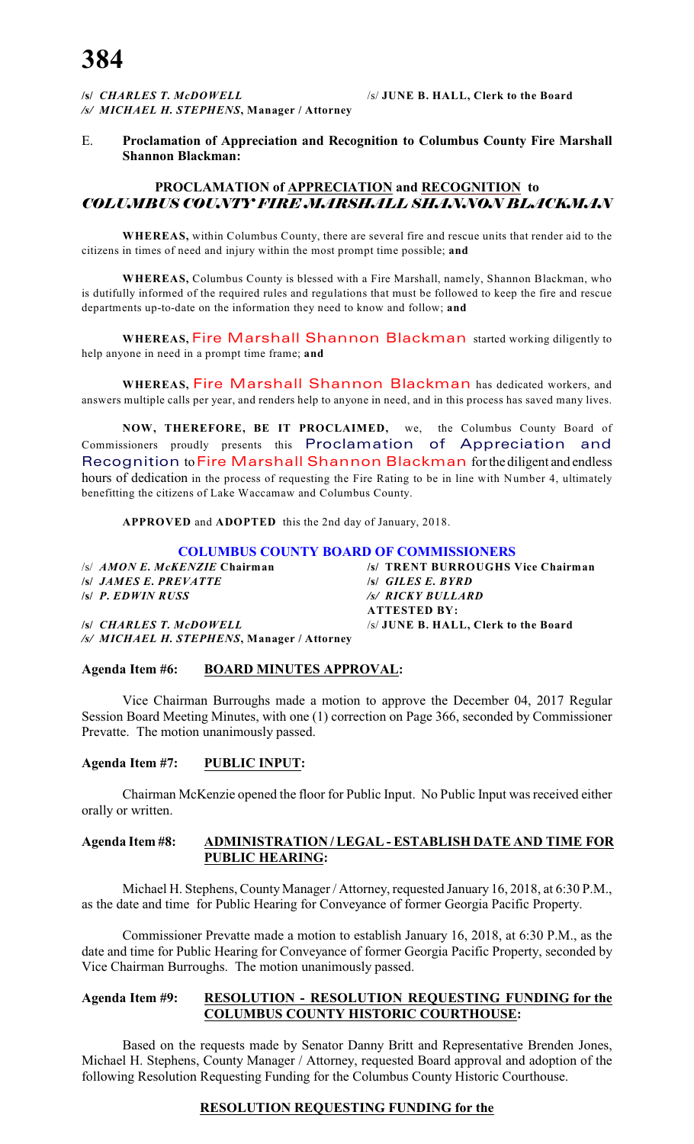**/s/** *CHARLES T. McDOWELL* /s/ **JUNE B. HALL, Clerk to the Board** */s/ MICHAEL H. STEPHENS***, Manager / Attorney**

### E. **Proclamation of Appreciation and Recognition to Columbus County Fire Marshall Shannon Blackman:**

# **PROCLAMATION of APPRECIATION and RECOGNITION to** *COLUMBUS COUNTY FIRE MARSHALL SHANNON BLACKMAN*

**WHEREAS,** within Columbus County, there are several fire and rescue units that render aid to the citizens in times of need and injury within the most prompt time possible; **and**

**WHEREAS,** Columbus County is blessed with a Fire Marshall, namely, Shannon Blackman, who is dutifully informed of the required rules and regulations that must be followed to keep the fire and rescue departments up-to-date on the information they need to know and follow; **and**

**WHEREAS,** *Fire Marshall Shannon Blackman* started working diligently to help anyone in need in a prompt time frame; **and**

**WHEREAS,** *Fire Marshall Shannon Blackman* has dedicated workers, and answers multiple calls per year, and renders help to anyone in need, and in this process has saved many lives.

**NOW, THEREFORE, BE IT PROCLAIMED,** we, the Columbus County Board of Commissioners proudly presents this Proclamation of Appreciation and Recognition to *Fire Marshall Shannon Blackman* for the diligent and endless hours of dedication in the process of requesting the Fire Rating to be in line with Number 4, ultimately benefitting the citizens of Lake Waccamaw and Columbus County.

**APPROVED** and **ADOPTED** this the 2nd day of January, 2018.

#### **COLUMBUS COUNTY BOARD OF COMMISSIONERS**

/s/ *AMON E. McKENZIE* **Chairman /s/ TRENT BURROUGHS Vice Chairman /s/** *JAMES E. PREVATTE* **/s/** *GILES E. BYRD* **/s/** *P. EDWIN RUSS /s/ RICKY BULLARD*

**ATTESTED BY: /s/** *CHARLES T. McDOWELL* /s/ **JUNE B. HALL, Clerk to the Board**

*/s/ MICHAEL H. STEPHENS***, Manager / Attorney**

**Agenda Item #6: BOARD MINUTES APPROVAL:**

Vice Chairman Burroughs made a motion to approve the December 04, 2017 Regular Session Board Meeting Minutes, with one (1) correction on Page 366, seconded by Commissioner Prevatte. The motion unanimously passed.

# **Agenda Item #7: PUBLIC INPUT:**

Chairman McKenzie opened the floor for Public Input. No Public Input was received either orally or written.

### **Agenda Item #8: ADMINISTRATION / LEGAL - ESTABLISH DATE AND TIME FOR PUBLIC HEARING:**

Michael H. Stephens, County Manager / Attorney, requested January 16, 2018, at 6:30 P.M., as the date and time for Public Hearing for Conveyance of former Georgia Pacific Property.

Commissioner Prevatte made a motion to establish January 16, 2018, at 6:30 P.M., as the date and time for Public Hearing for Conveyance of former Georgia Pacific Property, seconded by Vice Chairman Burroughs. The motion unanimously passed.

#### **Agenda Item #9: RESOLUTION - RESOLUTION REQUESTING FUNDING for the COLUMBUS COUNTY HISTORIC COURTHOUSE:**

Based on the requests made by Senator Danny Britt and Representative Brenden Jones, Michael H. Stephens, County Manager / Attorney, requested Board approval and adoption of the following Resolution Requesting Funding for the Columbus County Historic Courthouse.

# **RESOLUTION REQUESTING FUNDING for the**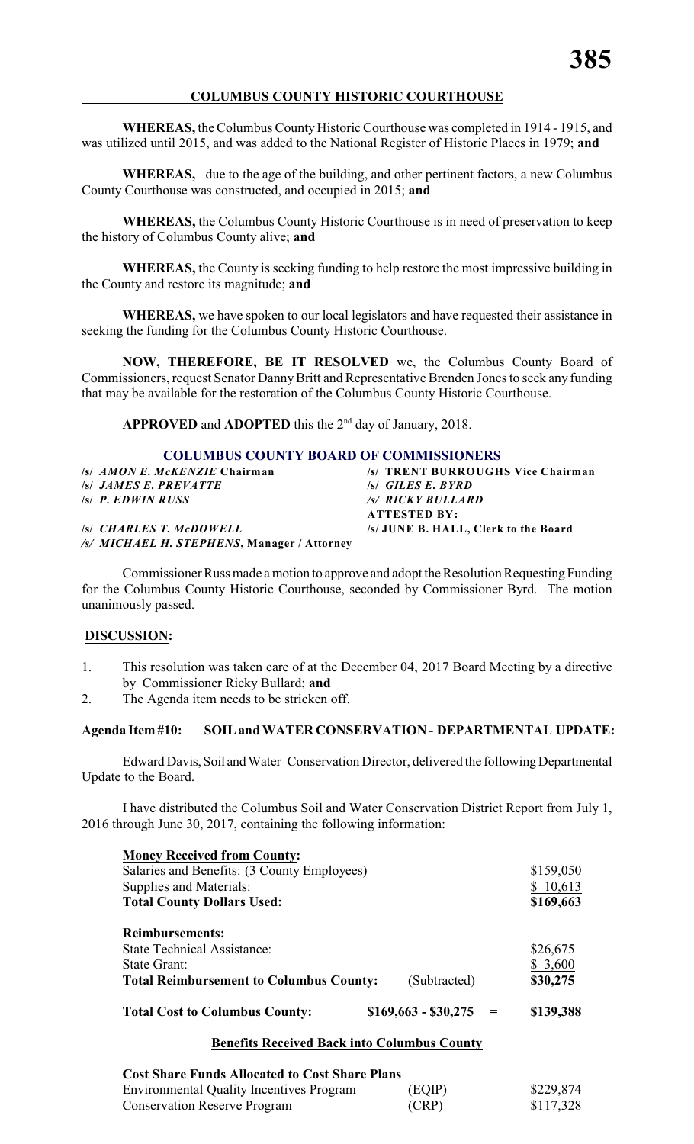# **COLUMBUS COUNTY HISTORIC COURTHOUSE**

**WHEREAS,** the Columbus County Historic Courthouse was completed in 1914 - 1915, and was utilized until 2015, and was added to the National Register of Historic Places in 1979; **and**

**WHEREAS,** due to the age of the building, and other pertinent factors, a new Columbus County Courthouse was constructed, and occupied in 2015; **and**

**WHEREAS,** the Columbus County Historic Courthouse is in need of preservation to keep the history of Columbus County alive; **and**

**WHEREAS,** the County is seeking funding to help restore the most impressive building in the County and restore its magnitude; **and**

**WHEREAS,** we have spoken to our local legislators and have requested their assistance in seeking the funding for the Columbus County Historic Courthouse.

**NOW, THEREFORE, BE IT RESOLVED** we, the Columbus County Board of Commissioners, request Senator DannyBritt and Representative Brenden Jones to seek any funding that may be available for the restoration of the Columbus County Historic Courthouse.

APPROVED and ADOPTED this the 2<sup>nd</sup> day of January, 2018.

# **COLUMBUS COUNTY BOARD OF COMMISSIONERS**

| /s/ TRENT BURROUGHS Vice Chairman           |
|---------------------------------------------|
| $\mathcal{S}$ GILES E. BYRD                 |
| /s/ RICKY BULLARD                           |
| <b>ATTESTED BY:</b>                         |
| /s/ JUNE B. HALL, Clerk to the Board        |
| /s/ MICHAEL H. STEPHENS, Manager / Attorney |
|                                             |

Commissioner Russ made a motion to approve and adopt the Resolution Requesting Funding for the Columbus County Historic Courthouse, seconded by Commissioner Byrd. The motion unanimously passed.

# **DISCUSSION:**

- 1. This resolution was taken care of at the December 04, 2017 Board Meeting by a directive by Commissioner Ricky Bullard; **and**
- 2. The Agenda item needs to be stricken off.

# **Agenda Item #10: SOIL and WATER CONSERVATION - DEPARTMENTAL UPDATE:**

Edward Davis, Soil and Water Conservation Director, delivered the following Departmental Update to the Board.

I have distributed the Columbus Soil and Water Conservation District Report from July 1, 2016 through June 30, 2017, containing the following information:

| <b>Money Received from County:</b>             |                      |           |
|------------------------------------------------|----------------------|-----------|
| Salaries and Benefits: (3 County Employees)    |                      | \$159,050 |
| Supplies and Materials:                        |                      | \$10,613  |
| <b>Total County Dollars Used:</b>              |                      | \$169,663 |
| <b>Reimbursements:</b>                         |                      |           |
| <b>State Technical Assistance:</b>             |                      | \$26,675  |
| State Grant:                                   |                      | \$3,600   |
| <b>Total Reimbursement to Columbus County:</b> | (Subtracted)         | \$30,275  |
| <b>Total Cost to Columbus County:</b>          | $$169,663 - $30,275$ | \$139,388 |

# **Benefits Received Back into Columbus County**

| <b>Cost Share Funds Allocated to Cost Share Plans</b> |        |           |
|-------------------------------------------------------|--------|-----------|
| <b>Environmental Quality Incentives Program</b>       | (EQIP) | \$229,874 |
| <b>Conservation Reserve Program</b>                   | (CRP)  | \$117,328 |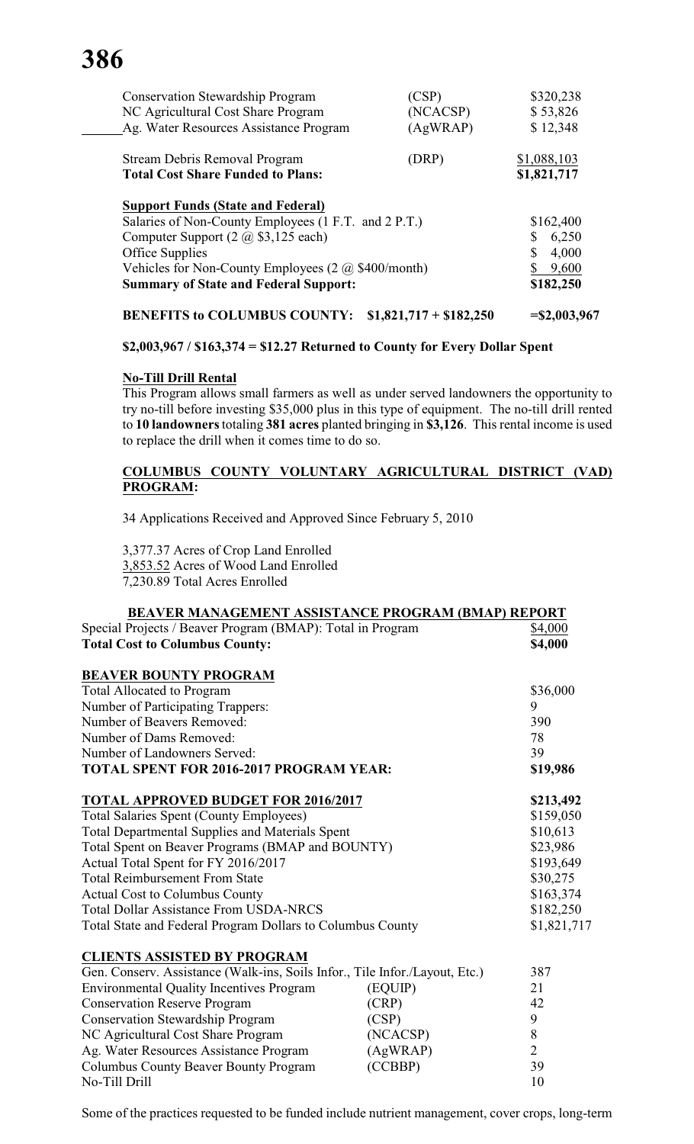# **386**

| <b>Conservation Stewardship Program</b>                        | (CSP)                   | \$320,238       |
|----------------------------------------------------------------|-------------------------|-----------------|
| NC Agricultural Cost Share Program                             | (NCACSP)                | \$53,826        |
| Ag. Water Resources Assistance Program                         | (AgWRAP)                | \$12,348        |
| Stream Debris Removal Program                                  | (DRP)                   | \$1,088,103     |
| <b>Total Cost Share Funded to Plans:</b>                       |                         | \$1,821,717     |
| <b>Support Funds (State and Federal)</b>                       |                         |                 |
| Salaries of Non-County Employees (1 F.T. and 2 P.T.)           | \$162,400               |                 |
| Computer Support $(2 \text{ (a) } $3,125 \text{ each})$        | 6,250<br>\$             |                 |
| Office Supplies                                                | \$<br>4,000             |                 |
| Vehicles for Non-County Employees $(2 \text{ (a) $400/month)}$ | 9,600                   |                 |
| <b>Summary of State and Federal Support:</b>                   |                         | \$182,250       |
| <b>BENEFITS to COLUMBUS COUNTY:</b>                            | $$1,821,717 + $182,250$ | $=$ \$2,003,967 |

# **\$2,003,967 / \$163,374 = \$12.27 Returned to County for Every Dollar Spent**

# **No-Till Drill Rental**

This Program allows small farmers as well as under served landowners the opportunity to try no-till before investing \$35,000 plus in this type of equipment. The no-till drill rented to **10 landowners** totaling **381 acres** planted bringing in **\$3,126**. This rental income is used to replace the drill when it comes time to do so.

# **COLUMBUS COUNTY VOLUNTARY AGRICULTURAL DISTRICT (VAD) PROGRAM:**

34 Applications Received and Approved Since February 5, 2010

3,377.37 Acres of Crop Land Enrolled 3,853.52 Acres of Wood Land Enrolled 7,230.89 Total Acres Enrolled

| <b>BEAVER MANAGEMENT ASSISTANCE PROGRAM (BMAP) REPORT</b>                   |             |                |
|-----------------------------------------------------------------------------|-------------|----------------|
| Special Projects / Beaver Program (BMAP): Total in Program                  |             | \$4,000        |
| <b>Total Cost to Columbus County:</b>                                       | \$4,000     |                |
| <b>BEAVER BOUNTY PROGRAM</b>                                                |             |                |
| <b>Total Allocated to Program</b>                                           |             | \$36,000       |
| Number of Participating Trappers:                                           |             | 9              |
| Number of Beavers Removed:                                                  |             | 390            |
| Number of Dams Removed:                                                     |             | 78             |
| Number of Landowners Served:                                                |             | 39             |
| TOTAL SPENT FOR 2016-2017 PROGRAM YEAR:                                     |             | \$19,986       |
| <b>TOTAL APPROVED BUDGET FOR 2016/2017</b>                                  |             | \$213,492      |
| <b>Total Salaries Spent (County Employees)</b>                              |             | \$159,050      |
| <b>Total Departmental Supplies and Materials Spent</b>                      |             | \$10,613       |
| Total Spent on Beaver Programs (BMAP and BOUNTY)                            |             | \$23,986       |
| Actual Total Spent for FY 2016/2017                                         | \$193,649   |                |
| <b>Total Reimbursement From State</b>                                       | \$30,275    |                |
| <b>Actual Cost to Columbus County</b>                                       | \$163,374   |                |
| <b>Total Dollar Assistance From USDA-NRCS</b>                               | \$182,250   |                |
| Total State and Federal Program Dollars to Columbus County                  | \$1,821,717 |                |
| <b>CLIENTS ASSISTED BY PROGRAM</b>                                          |             |                |
| Gen. Conserv. Assistance (Walk-ins, Soils Infor., Tile Infor./Layout, Etc.) |             | 387            |
| <b>Environmental Quality Incentives Program</b>                             | (EQUIP)     | 21             |
| <b>Conservation Reserve Program</b>                                         | (CRP)       | 42             |
| <b>Conservation Stewardship Program</b>                                     | (CSP)       | 9              |
| NC Agricultural Cost Share Program                                          | (NCACSP)    | $\,8\,$        |
| Ag. Water Resources Assistance Program                                      | (AgWRAP)    | $\overline{2}$ |
| <b>Columbus County Beaver Bounty Program</b>                                | (CCBBP)     | 39             |
| No-Till Drill                                                               | 10          |                |

# Some of the practices requested to be funded include nutrient management, cover crops, long-term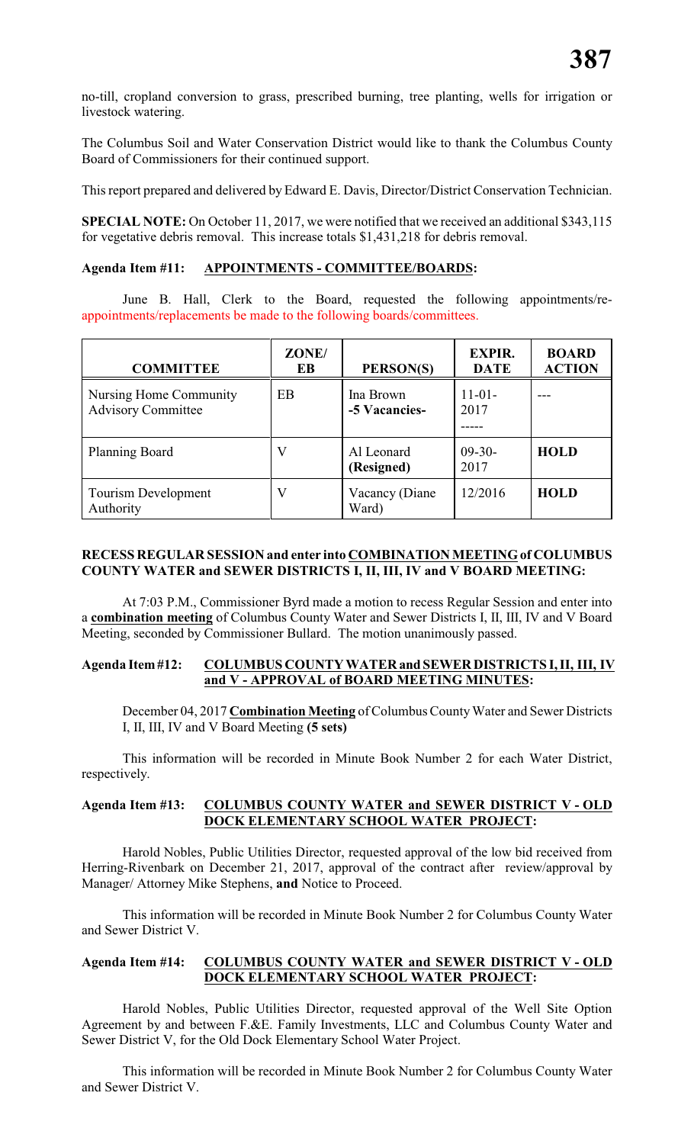no-till, cropland conversion to grass, prescribed burning, tree planting, wells for irrigation or livestock watering.

The Columbus Soil and Water Conservation District would like to thank the Columbus County Board of Commissioners for their continued support.

This report prepared and delivered by Edward E. Davis, Director/District Conservation Technician.

**SPECIAL NOTE:** On October 11, 2017, we were notified that we received an additional \$343,115 for vegetative debris removal. This increase totals \$1,431,218 for debris removal.

#### **Agenda Item #11: APPOINTMENTS - COMMITTEE/BOARDS:**

June B. Hall, Clerk to the Board, requested the following appointments/reappointments/replacements be made to the following boards/committees.

| <b>COMMITTEE</b>                                    | ZONE/<br>EB | PERSON(S)                  | <b>EXPIR.</b><br><b>DATE</b> | <b>BOARD</b><br><b>ACTION</b> |
|-----------------------------------------------------|-------------|----------------------------|------------------------------|-------------------------------|
| Nursing Home Community<br><b>Advisory Committee</b> | EB          | Ina Brown<br>-5 Vacancies- | $11-01-$<br>2017             |                               |
| Planning Board                                      | V           | Al Leonard<br>(Resigned)   | $09-30-$<br>2017             | <b>HOLD</b>                   |
| Tourism Development<br>Authority                    | V           | Vacancy (Diane<br>Ward)    | 12/2016                      | <b>HOLD</b>                   |

# **RECESS REGULAR SESSION and enter into COMBINATION MEETING of COLUMBUS COUNTY WATER and SEWER DISTRICTS I, II, III, IV and V BOARD MEETING:**

At 7:03 P.M., Commissioner Byrd made a motion to recess Regular Session and enter into a **combination meeting** of Columbus County Water and Sewer Districts I, II, III, IV and V Board Meeting, seconded by Commissioner Bullard. The motion unanimously passed.

#### **Agenda Item #12: COLUMBUS COUNTY WATER and SEWER DISTRICTS I, II, III, IV and V - APPROVAL of BOARD MEETING MINUTES:**

December 04, 2017 **Combination Meeting** of Columbus County Water and Sewer Districts I, II, III, IV and V Board Meeting **(5 sets)**

This information will be recorded in Minute Book Number 2 for each Water District, respectively.

# **Agenda Item #13: COLUMBUS COUNTY WATER and SEWER DISTRICT V - OLD DOCK ELEMENTARY SCHOOL WATER PROJECT:**

Harold Nobles, Public Utilities Director, requested approval of the low bid received from Herring-Rivenbark on December 21, 2017, approval of the contract after review/approval by Manager/ Attorney Mike Stephens, **and** Notice to Proceed.

This information will be recorded in Minute Book Number 2 for Columbus County Water and Sewer District V.

#### **Agenda Item #14: COLUMBUS COUNTY WATER and SEWER DISTRICT V - OLD DOCK ELEMENTARY SCHOOL WATER PROJECT:**

Harold Nobles, Public Utilities Director, requested approval of the Well Site Option Agreement by and between F.&E. Family Investments, LLC and Columbus County Water and Sewer District V, for the Old Dock Elementary School Water Project.

This information will be recorded in Minute Book Number 2 for Columbus County Water and Sewer District V.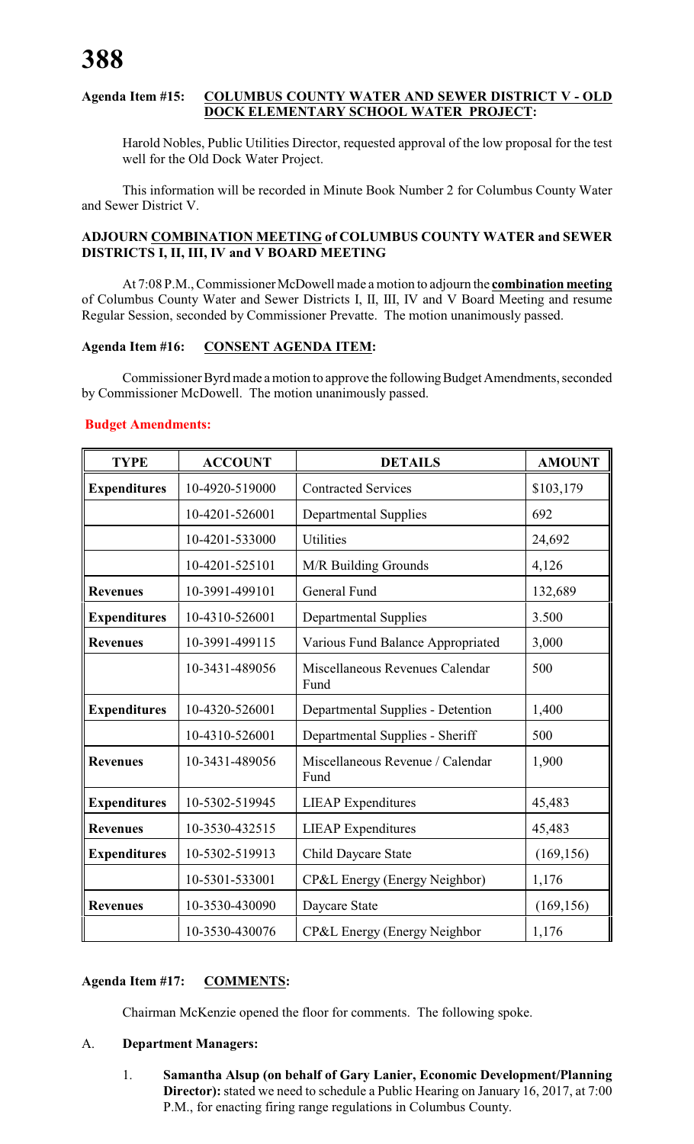# **Agenda Item #15: COLUMBUS COUNTY WATER AND SEWER DISTRICT V - OLD DOCK ELEMENTARY SCHOOL WATER PROJECT:**

Harold Nobles, Public Utilities Director, requested approval of the low proposal for the test well for the Old Dock Water Project.

This information will be recorded in Minute Book Number 2 for Columbus County Water and Sewer District V.

# **ADJOURN COMBINATION MEETING of COLUMBUS COUNTY WATER and SEWER DISTRICTS I, II, III, IV and V BOARD MEETING**

At 7:08 P.M., Commissioner McDowell made a motion to adjourn the **combination meeting** of Columbus County Water and Sewer Districts I, II, III, IV and V Board Meeting and resume Regular Session, seconded by Commissioner Prevatte. The motion unanimously passed.

# **Agenda Item #16: CONSENT AGENDA ITEM:**

Commissioner Byrd made a motion to approve the following Budget Amendments, seconded by Commissioner McDowell. The motion unanimously passed.

# **Budget Amendments:**

| <b>TYPE</b>         | <b>ACCOUNT</b> | <b>DETAILS</b>                           | <b>AMOUNT</b> |
|---------------------|----------------|------------------------------------------|---------------|
| <b>Expenditures</b> | 10-4920-519000 | <b>Contracted Services</b>               | \$103,179     |
|                     | 10-4201-526001 | <b>Departmental Supplies</b>             | 692           |
|                     | 10-4201-533000 | <b>Utilities</b>                         | 24,692        |
|                     | 10-4201-525101 | M/R Building Grounds                     | 4,126         |
| <b>Revenues</b>     | 10-3991-499101 | General Fund                             | 132,689       |
| <b>Expenditures</b> | 10-4310-526001 | <b>Departmental Supplies</b>             | 3.500         |
| <b>Revenues</b>     | 10-3991-499115 | Various Fund Balance Appropriated        | 3,000         |
|                     | 10-3431-489056 | Miscellaneous Revenues Calendar<br>Fund  | 500           |
| <b>Expenditures</b> | 10-4320-526001 | Departmental Supplies - Detention        | 1,400         |
|                     | 10-4310-526001 | Departmental Supplies - Sheriff          | 500           |
| <b>Revenues</b>     | 10-3431-489056 | Miscellaneous Revenue / Calendar<br>Fund | 1,900         |
| <b>Expenditures</b> | 10-5302-519945 | <b>LIEAP</b> Expenditures                | 45,483        |
| <b>Revenues</b>     | 10-3530-432515 | <b>LIEAP</b> Expenditures                | 45,483        |
| <b>Expenditures</b> | 10-5302-519913 | Child Daycare State                      | (169, 156)    |
|                     | 10-5301-533001 | CP&L Energy (Energy Neighbor)            | 1,176         |
| <b>Revenues</b>     | 10-3530-430090 | Daycare State                            | (169, 156)    |
|                     | 10-3530-430076 | CP&L Energy (Energy Neighbor             | 1,176         |

# **Agenda Item #17: COMMENTS:**

Chairman McKenzie opened the floor for comments. The following spoke.

# A. **Department Managers:**

1. **Samantha Alsup (on behalf of Gary Lanier, Economic Development/Planning Director):** stated we need to schedule a Public Hearing on January 16, 2017, at 7:00 P.M., for enacting firing range regulations in Columbus County.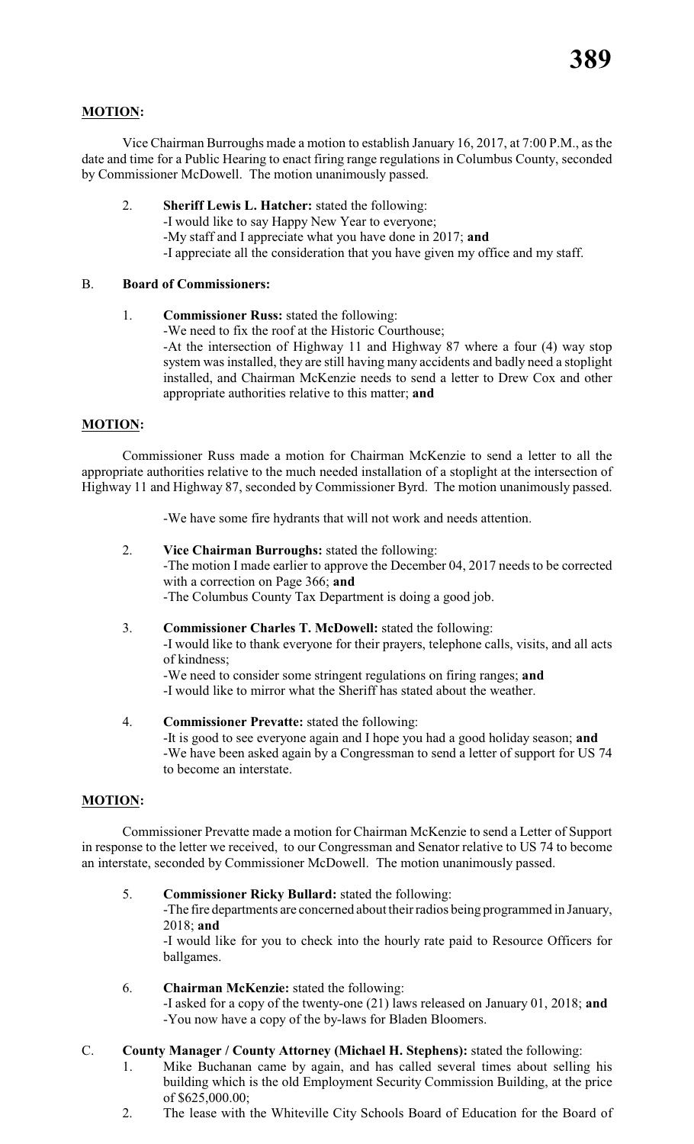# **MOTION:**

Vice Chairman Burroughs made a motion to establish January 16, 2017, at 7:00 P.M., as the date and time for a Public Hearing to enact firing range regulations in Columbus County, seconded by Commissioner McDowell. The motion unanimously passed.

- 2. **Sheriff Lewis L. Hatcher:** stated the following:
	- -I would like to say Happy New Year to everyone;
		- -My staff and I appreciate what you have done in 2017; **and**
		- -I appreciate all the consideration that you have given my office and my staff.

# B. **Board of Commissioners:**

1. **Commissioner Russ:** stated the following:

-We need to fix the roof at the Historic Courthouse;

-At the intersection of Highway 11 and Highway 87 where a four (4) way stop system was installed, they are still having many accidents and badly need a stoplight installed, and Chairman McKenzie needs to send a letter to Drew Cox and other appropriate authorities relative to this matter; **and**

# **MOTION:**

Commissioner Russ made a motion for Chairman McKenzie to send a letter to all the appropriate authorities relative to the much needed installation of a stoplight at the intersection of Highway 11 and Highway 87, seconded by Commissioner Byrd. The motion unanimously passed.

-We have some fire hydrants that will not work and needs attention.

# 2. **Vice Chairman Burroughs:** stated the following:

-The motion I made earlier to approve the December 04, 2017 needs to be corrected with a correction on Page 366; **and**

-The Columbus County Tax Department is doing a good job.

3. **Commissioner Charles T. McDowell:** stated the following: -I would like to thank everyone for their prayers, telephone calls, visits, and all acts of kindness;

-We need to consider some stringent regulations on firing ranges; **and** -I would like to mirror what the Sheriff has stated about the weather.

4. **Commissioner Prevatte:** stated the following: -It is good to see everyone again and I hope you had a good holiday season; **and** -We have been asked again by a Congressman to send a letter of support for US 74 to become an interstate.

# **MOTION:**

Commissioner Prevatte made a motion for Chairman McKenzie to send a Letter of Support in response to the letter we received, to our Congressman and Senator relative to US 74 to become an interstate, seconded by Commissioner McDowell. The motion unanimously passed.

5. **Commissioner Ricky Bullard:** stated the following:

-The fire departments are concerned about their radios being programmed in January, 2018; **and**

-I would like for you to check into the hourly rate paid to Resource Officers for ballgames.

6. **Chairman McKenzie:** stated the following: -I asked for a copy of the twenty-one (21) laws released on January 01, 2018; **and** -You now have a copy of the by-laws for Bladen Bloomers.

# C. **County Manager / County Attorney (Michael H. Stephens):** stated the following:

- 1. Mike Buchanan came by again, and has called several times about selling his building which is the old Employment Security Commission Building, at the price of \$625,000.00;
- 2. The lease with the Whiteville City Schools Board of Education for the Board of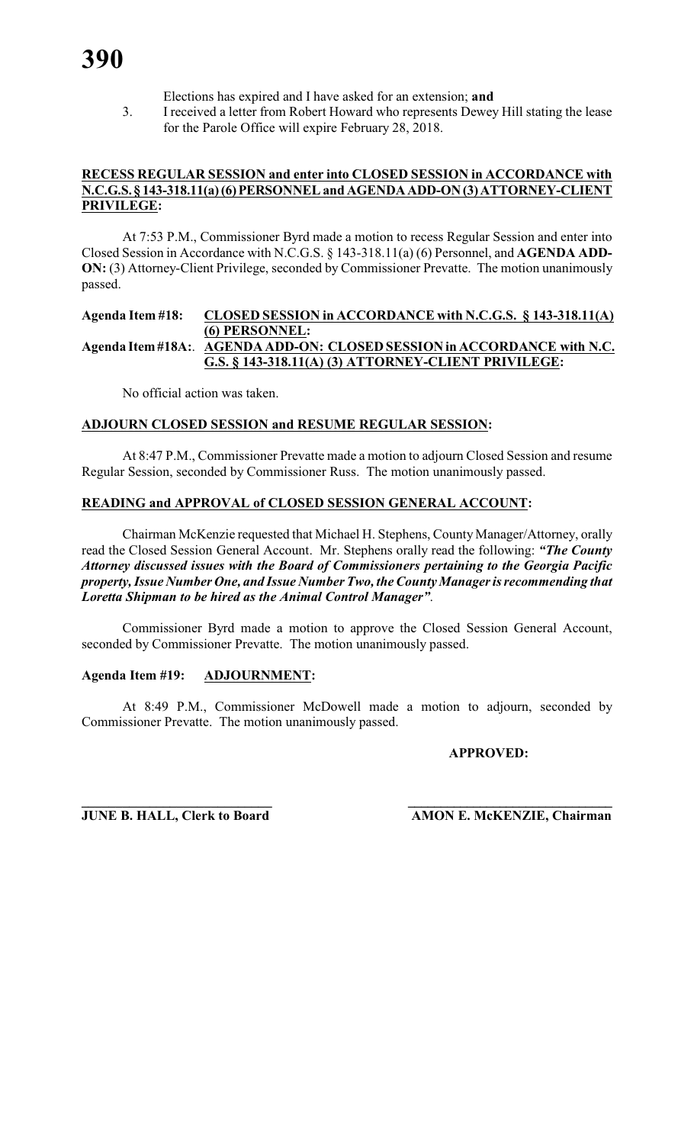- Elections has expired and I have asked for an extension; **and**
- 3. I received a letter from Robert Howard who represents Dewey Hill stating the lease for the Parole Office will expire February 28, 2018.

#### **RECESS REGULAR SESSION and enter into CLOSED SESSION in ACCORDANCE with N.C.G.S. § 143-318.11(a) (6) PERSONNEL and AGENDA ADD-ON (3) ATTORNEY-CLIENT PRIVILEGE:**

At 7:53 P.M., Commissioner Byrd made a motion to recess Regular Session and enter into Closed Session in Accordance with N.C.G.S. § 143-318.11(a) (6) Personnel, and **AGENDA ADD-ON:** (3) Attorney-Client Privilege, seconded by Commissioner Prevatte. The motion unanimously passed.

# **Agenda Item #18: CLOSED SESSION in ACCORDANCE with N.C.G.S. § 143-318.11(A) (6) PERSONNEL: Agenda Item #18A:**. **AGENDA ADD-ON: CLOSED SESSION in ACCORDANCE with N.C. G.S. § 143-318.11(A) (3) ATTORNEY-CLIENT PRIVILEGE:**

No official action was taken.

# **ADJOURN CLOSED SESSION and RESUME REGULAR SESSION:**

At 8:47 P.M., Commissioner Prevatte made a motion to adjourn Closed Session and resume Regular Session, seconded by Commissioner Russ. The motion unanimously passed.

# **READING and APPROVAL of CLOSED SESSION GENERAL ACCOUNT:**

Chairman McKenzie requested that Michael H. Stephens, County Manager/Attorney, orally read the Closed Session General Account. Mr. Stephens orally read the following: *"The County Attorney discussed issues with the Board of Commissioners pertaining to the Georgia Pacific property, Issue Number One, and Issue Number Two, the County Manager is recommending that Loretta Shipman to be hired as the Animal Control Manager"*.

Commissioner Byrd made a motion to approve the Closed Session General Account, seconded by Commissioner Prevatte. The motion unanimously passed.

# **Agenda Item #19: ADJOURNMENT:**

At 8:49 P.M., Commissioner McDowell made a motion to adjourn, seconded by Commissioner Prevatte. The motion unanimously passed.

# **APPROVED:**

**\_\_\_\_\_\_\_\_\_\_\_\_\_\_\_\_\_\_\_\_\_\_\_\_\_\_\_\_ \_\_\_\_\_\_\_\_\_\_\_\_\_\_\_\_\_\_\_\_\_\_\_\_\_\_\_\_\_\_\_ JUNE B. HALL, Clerk to Board AMON E. McKENZIE, Chairman**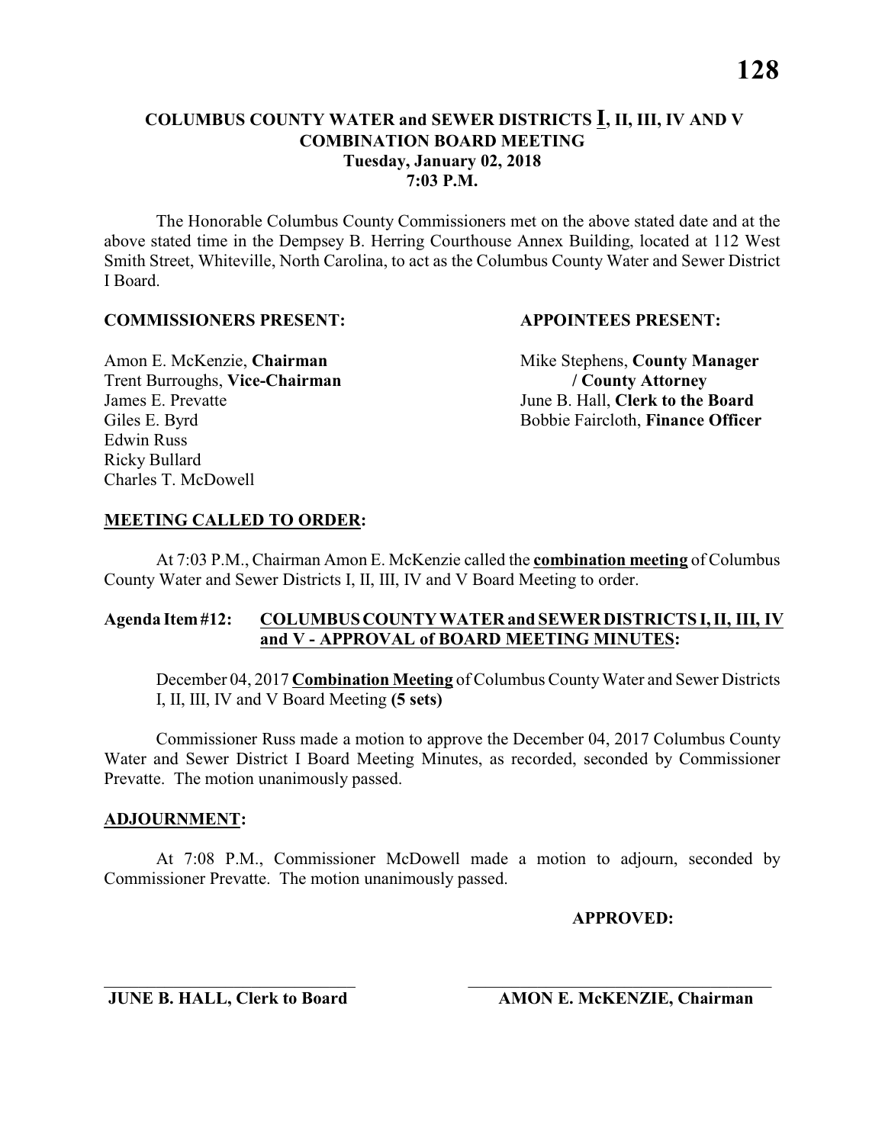The Honorable Columbus County Commissioners met on the above stated date and at the above stated time in the Dempsey B. Herring Courthouse Annex Building, located at 112 West Smith Street, Whiteville, North Carolina, to act as the Columbus County Water and Sewer District I Board.

#### **COMMISSIONERS PRESENT: APPOINTEES PRESENT:**

Trent Burroughs, **Vice-Chairman / County Attorney** James E. Prevatte<br>
Giles E. Byrd<br>
Giles E. Byrd<br>
Giles E. Byrd<br>
Giles E. Byrd<br>
Giles E. Byrd<br>
Giles E. Byrd<br>
Giles E. Byrd<br>
Giles E. Byrd<br>
Giles E. Byrd<br>
Giles E. Byrd<br>
Giles E. Byrd<br>
Giles E. Byrd<br>
Giles E. Byrd<br>
Giles E. Edwin Russ Ricky Bullard Charles T. McDowell

Amon E. McKenzie, **Chairman** Mike Stephens, **County Manager** Bobbie Faircloth, **Finance Officer** 

#### **MEETING CALLED TO ORDER:**

At 7:03 P.M., Chairman Amon E. McKenzie called the **combination meeting** of Columbus County Water and Sewer Districts I, II, III, IV and V Board Meeting to order.

### **Agenda Item #12: COLUMBUS COUNTY WATER and SEWER DISTRICTS I, II, III, IV and V - APPROVAL of BOARD MEETING MINUTES:**

December 04, 2017 **Combination Meeting** of Columbus County Water and Sewer Districts I, II, III, IV and V Board Meeting **(5 sets)**

Commissioner Russ made a motion to approve the December 04, 2017 Columbus County Water and Sewer District I Board Meeting Minutes, as recorded, seconded by Commissioner Prevatte. The motion unanimously passed.

#### **ADJOURNMENT:**

At 7:08 P.M., Commissioner McDowell made a motion to adjourn, seconded by Commissioner Prevatte. The motion unanimously passed.

\_\_\_\_\_\_\_\_\_\_\_\_\_\_\_\_\_\_\_\_\_\_\_\_\_\_\_\_\_ \_\_\_\_\_\_\_\_\_\_\_\_\_\_\_\_\_\_\_\_\_\_\_\_\_\_\_\_\_\_\_\_\_\_\_

**APPROVED:**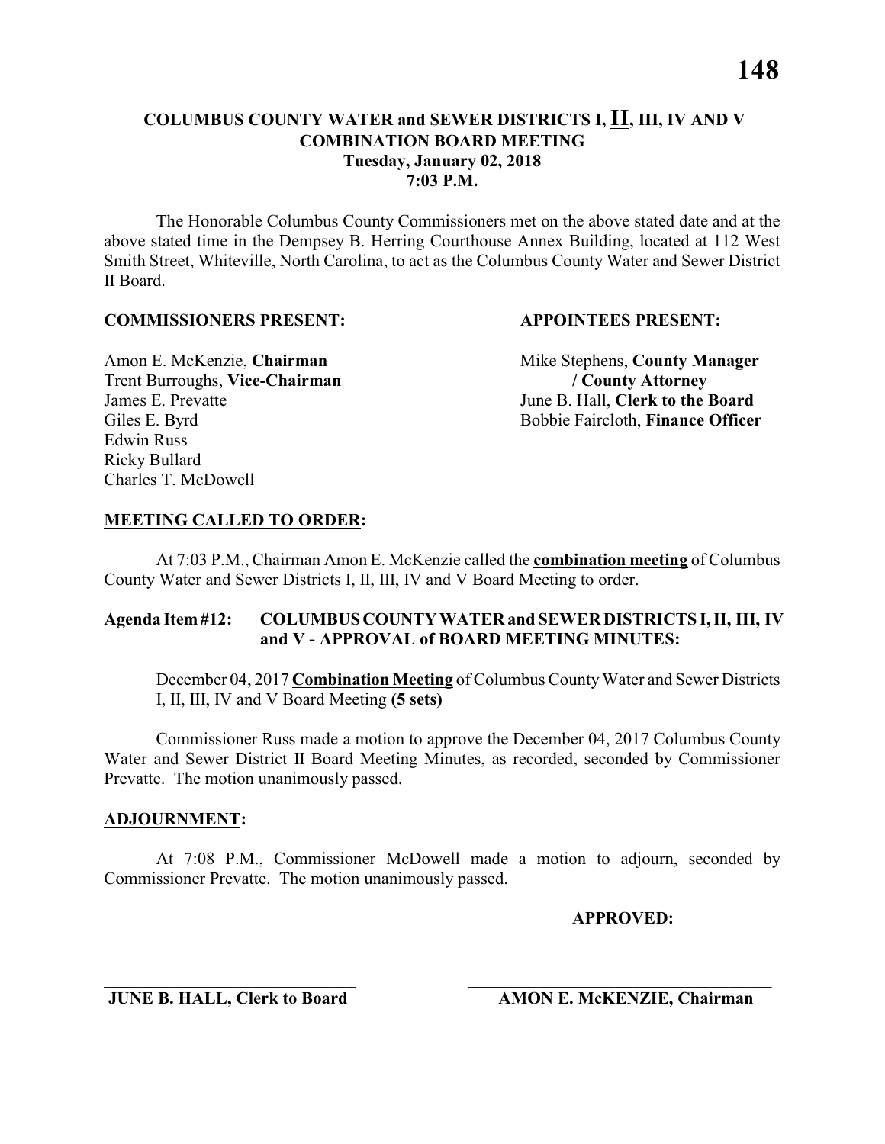The Honorable Columbus County Commissioners met on the above stated date and at the above stated time in the Dempsey B. Herring Courthouse Annex Building, located at 112 West Smith Street, Whiteville, North Carolina, to act as the Columbus County Water and Sewer District II Board.

#### **COMMISSIONERS PRESENT: APPOINTEES PRESENT:**

Trent Burroughs, **Vice-Chairman / County Attorney** James E. Prevatte<br>
Giles E. Byrd<br>
Giles E. Byrd<br>
Giles E. Byrd<br>
Giles E. Byrd<br>
Giles E. Byrd<br>
Giles E. Byrd<br>
Giles E. Byrd<br>
Giles E. Byrd<br>
Giles E. Byrd<br>
Giles E. Byrd<br>
Giles E. Byrd<br>
Giles E. Byrd<br>
Giles E. Byrd<br>
Giles E. Edwin Russ Ricky Bullard Charles T. McDowell

Amon E. McKenzie, **Chairman** Mike Stephens, **County Manager** Bobbie Faircloth, **Finance Officer** 

#### **MEETING CALLED TO ORDER:**

At 7:03 P.M., Chairman Amon E. McKenzie called the **combination meeting** of Columbus County Water and Sewer Districts I, II, III, IV and V Board Meeting to order.

### **Agenda Item #12: COLUMBUS COUNTY WATER and SEWER DISTRICTS I, II, III, IV and V - APPROVAL of BOARD MEETING MINUTES:**

December 04, 2017 **Combination Meeting** of Columbus County Water and Sewer Districts I, II, III, IV and V Board Meeting **(5 sets)**

Commissioner Russ made a motion to approve the December 04, 2017 Columbus County Water and Sewer District II Board Meeting Minutes, as recorded, seconded by Commissioner Prevatte. The motion unanimously passed.

#### **ADJOURNMENT:**

At 7:08 P.M., Commissioner McDowell made a motion to adjourn, seconded by Commissioner Prevatte. The motion unanimously passed.

\_\_\_\_\_\_\_\_\_\_\_\_\_\_\_\_\_\_\_\_\_\_\_\_\_\_\_\_\_ \_\_\_\_\_\_\_\_\_\_\_\_\_\_\_\_\_\_\_\_\_\_\_\_\_\_\_\_\_\_\_\_\_\_\_

**APPROVED:**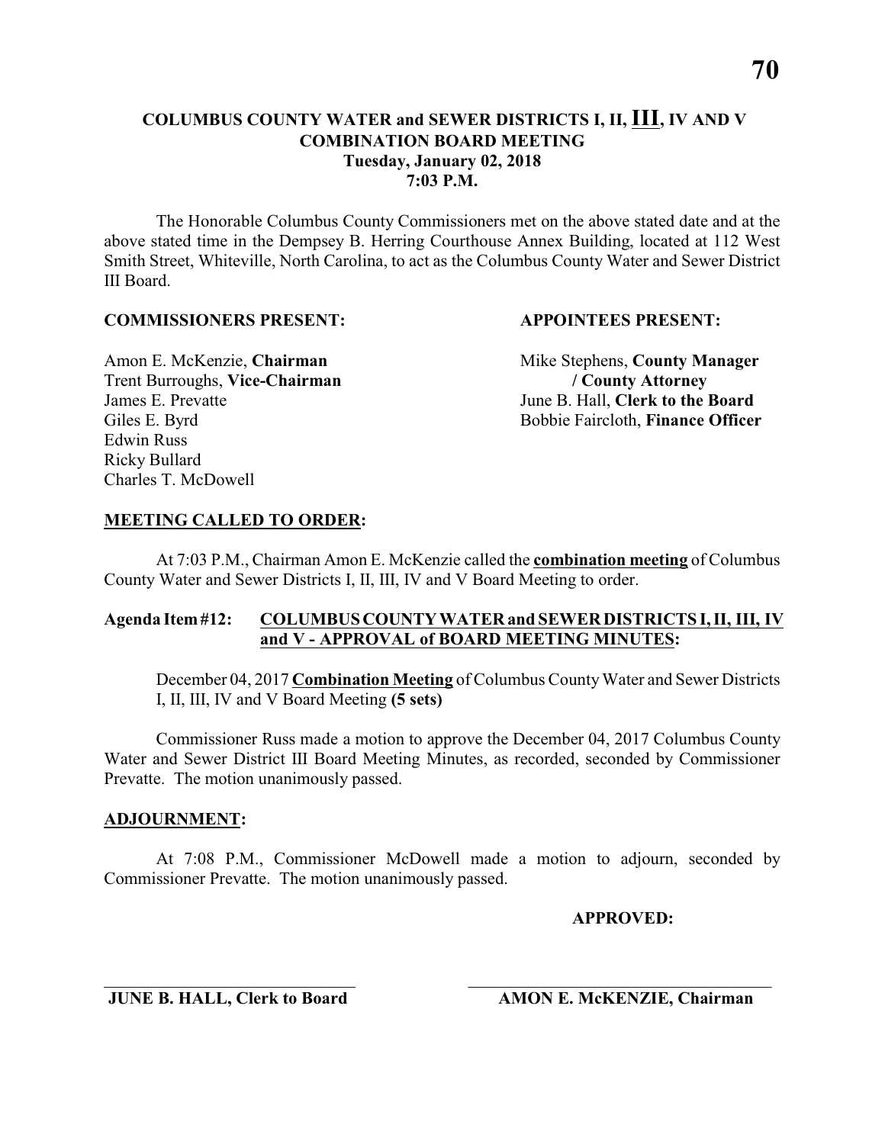The Honorable Columbus County Commissioners met on the above stated date and at the above stated time in the Dempsey B. Herring Courthouse Annex Building, located at 112 West Smith Street, Whiteville, North Carolina, to act as the Columbus County Water and Sewer District III Board.

#### **COMMISSIONERS PRESENT: APPOINTEES PRESENT:**

Trent Burroughs, **Vice-Chairman / County Attorney** James E. Prevatte June B. Hall, **Clerk to the Board** Edwin Russ Ricky Bullard Charles T. McDowell

Amon E. McKenzie, **Chairman** Mike Stephens, **County Manager** Giles E. Byrd Bobbie Faircloth, **Finance Officer** 

#### **MEETING CALLED TO ORDER:**

At 7:03 P.M., Chairman Amon E. McKenzie called the **combination meeting** of Columbus County Water and Sewer Districts I, II, III, IV and V Board Meeting to order.

### **Agenda Item #12: COLUMBUS COUNTY WATER and SEWER DISTRICTS I, II, III, IV and V - APPROVAL of BOARD MEETING MINUTES:**

December 04, 2017 **Combination Meeting** of Columbus County Water and Sewer Districts I, II, III, IV and V Board Meeting **(5 sets)**

Commissioner Russ made a motion to approve the December 04, 2017 Columbus County Water and Sewer District III Board Meeting Minutes, as recorded, seconded by Commissioner Prevatte. The motion unanimously passed.

#### **ADJOURNMENT:**

At 7:08 P.M., Commissioner McDowell made a motion to adjourn, seconded by Commissioner Prevatte. The motion unanimously passed.

\_\_\_\_\_\_\_\_\_\_\_\_\_\_\_\_\_\_\_\_\_\_\_\_\_\_\_\_\_ \_\_\_\_\_\_\_\_\_\_\_\_\_\_\_\_\_\_\_\_\_\_\_\_\_\_\_\_\_\_\_\_\_\_\_

**APPROVED:**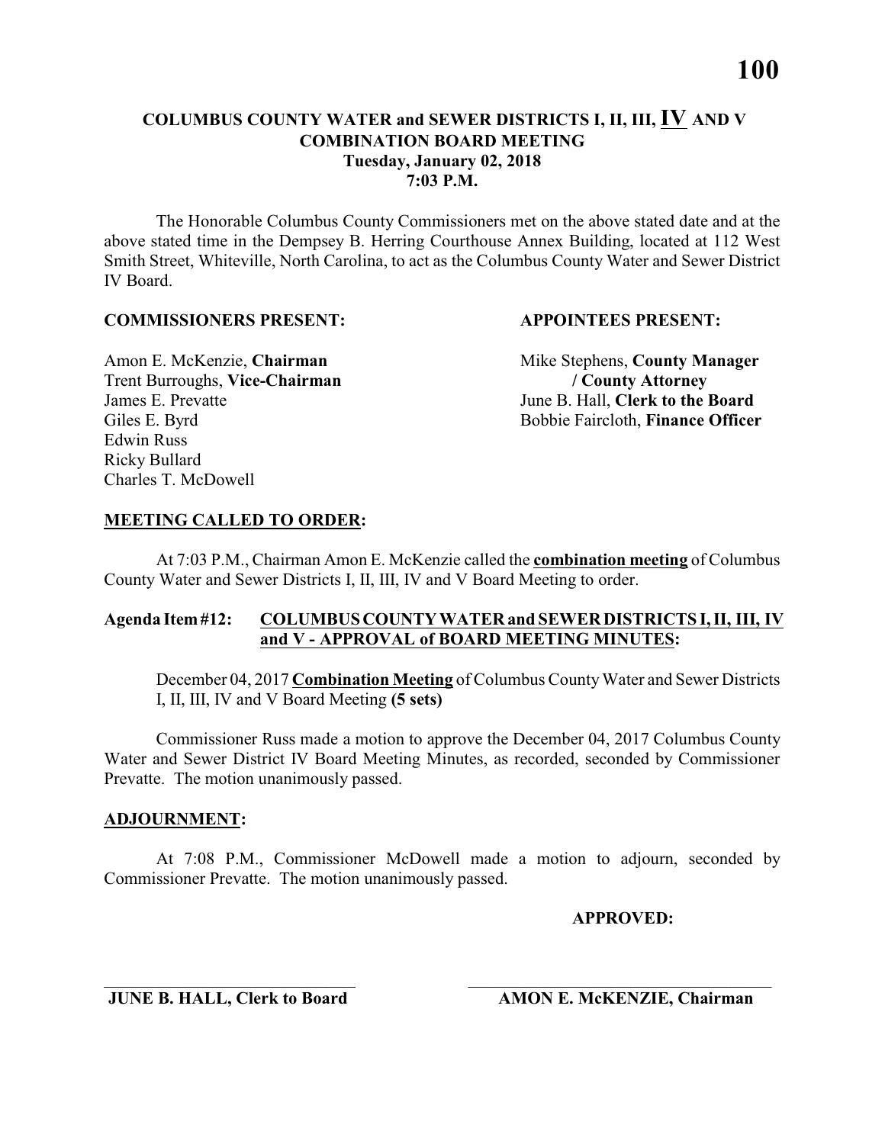The Honorable Columbus County Commissioners met on the above stated date and at the above stated time in the Dempsey B. Herring Courthouse Annex Building, located at 112 West Smith Street, Whiteville, North Carolina, to act as the Columbus County Water and Sewer District IV Board.

#### **COMMISSIONERS PRESENT: APPOINTEES PRESENT:**

Trent Burroughs, **Vice-Chairman / County Attorney** James E. Prevatte June B. Hall, **Clerk to the Board** Edwin Russ Ricky Bullard Charles T. McDowell

Amon E. McKenzie, **Chairman** Mike Stephens, **County Manager** Giles E. Byrd Bobbie Faircloth, **Finance Officer** 

### **MEETING CALLED TO ORDER:**

At 7:03 P.M., Chairman Amon E. McKenzie called the **combination meeting** of Columbus County Water and Sewer Districts I, II, III, IV and V Board Meeting to order.

### **Agenda Item #12: COLUMBUS COUNTY WATER and SEWER DISTRICTS I, II, III, IV and V - APPROVAL of BOARD MEETING MINUTES:**

December 04, 2017 **Combination Meeting** of Columbus County Water and Sewer Districts I, II, III, IV and V Board Meeting **(5 sets)**

Commissioner Russ made a motion to approve the December 04, 2017 Columbus County Water and Sewer District IV Board Meeting Minutes, as recorded, seconded by Commissioner Prevatte. The motion unanimously passed.

#### **ADJOURNMENT:**

At 7:08 P.M., Commissioner McDowell made a motion to adjourn, seconded by Commissioner Prevatte. The motion unanimously passed.

\_\_\_\_\_\_\_\_\_\_\_\_\_\_\_\_\_\_\_\_\_\_\_\_\_\_\_\_\_ \_\_\_\_\_\_\_\_\_\_\_\_\_\_\_\_\_\_\_\_\_\_\_\_\_\_\_\_\_\_\_\_\_\_\_

**APPROVED:**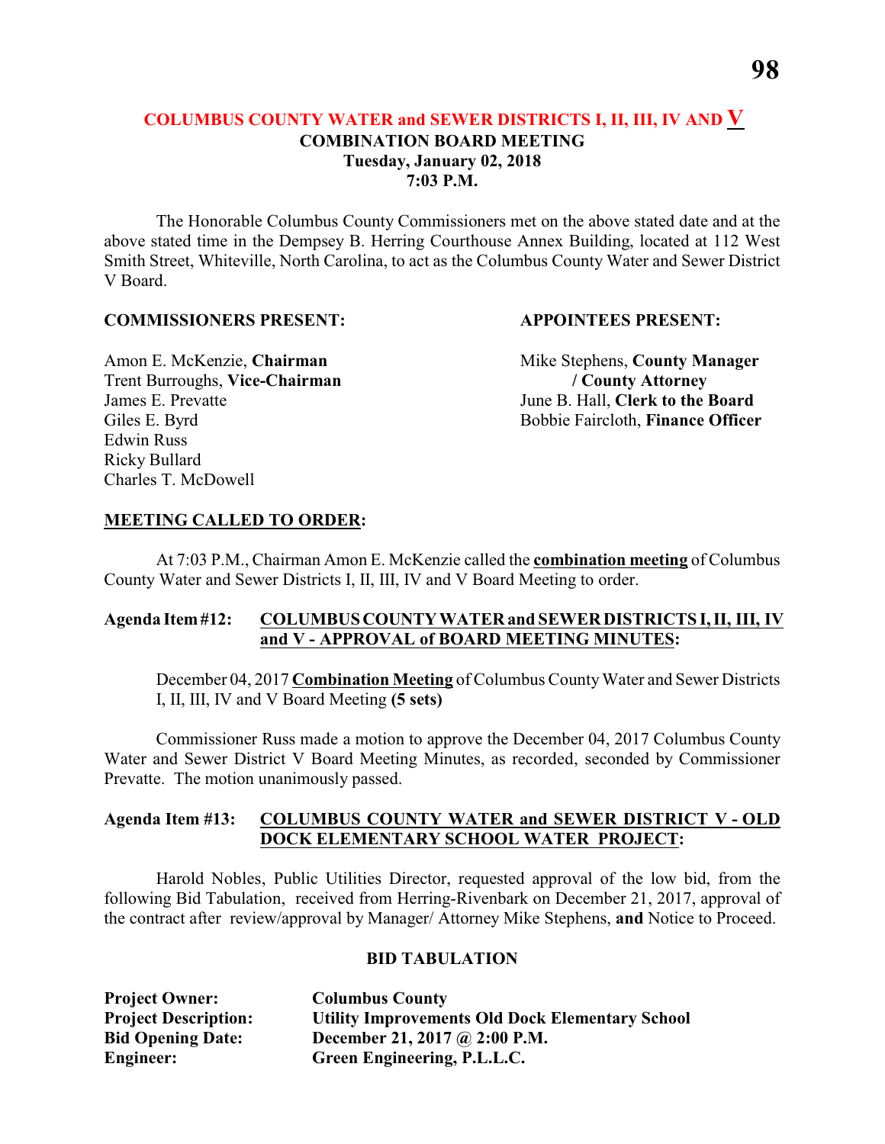The Honorable Columbus County Commissioners met on the above stated date and at the above stated time in the Dempsey B. Herring Courthouse Annex Building, located at 112 West Smith Street, Whiteville, North Carolina, to act as the Columbus County Water and Sewer District V Board.

#### **COMMISSIONERS PRESENT: APPOINTEES PRESENT:**

Trent Burroughs, **Vice-Chairman / County Attorney** James E. Prevatte June B. Hall, **Clerk to the Board** Edwin Russ Ricky Bullard Charles T. McDowell

Amon E. McKenzie, **Chairman** Mike Stephens, **County Manager** Giles E. Byrd Bobbie Faircloth, **Finance Officer** 

#### **MEETING CALLED TO ORDER:**

At 7:03 P.M., Chairman Amon E. McKenzie called the **combination meeting** of Columbus County Water and Sewer Districts I, II, III, IV and V Board Meeting to order.

### **Agenda Item #12: COLUMBUS COUNTY WATER and SEWER DISTRICTS I, II, III, IV and V - APPROVAL of BOARD MEETING MINUTES:**

December 04, 2017 **Combination Meeting** of Columbus County Water and Sewer Districts I, II, III, IV and V Board Meeting **(5 sets)**

Commissioner Russ made a motion to approve the December 04, 2017 Columbus County Water and Sewer District V Board Meeting Minutes, as recorded, seconded by Commissioner Prevatte. The motion unanimously passed.

### **Agenda Item #13: COLUMBUS COUNTY WATER and SEWER DISTRICT V - OLD DOCK ELEMENTARY SCHOOL WATER PROJECT:**

Harold Nobles, Public Utilities Director, requested approval of the low bid, from the following Bid Tabulation, received from Herring-Rivenbark on December 21, 2017, approval of the contract after review/approval by Manager/ Attorney Mike Stephens, **and** Notice to Proceed.

#### **BID TABULATION**

| <b>Project Owner:</b>       | <b>Columbus County</b>                                 |
|-----------------------------|--------------------------------------------------------|
| <b>Project Description:</b> | <b>Utility Improvements Old Dock Elementary School</b> |
| <b>Bid Opening Date:</b>    | December 21, 2017 @ 2:00 P.M.                          |
| Engineer:                   | Green Engineering, P.L.L.C.                            |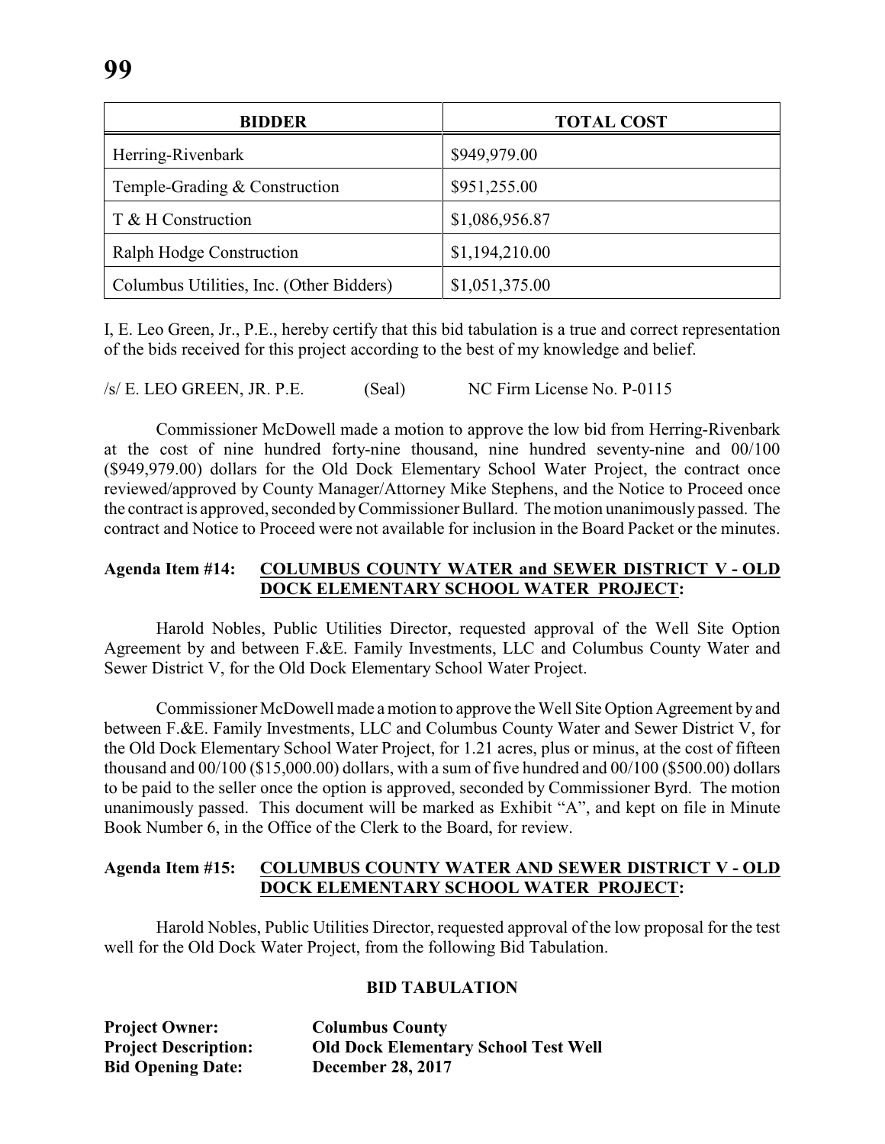| <b>BIDDER</b>                            | <b>TOTAL COST</b> |
|------------------------------------------|-------------------|
| Herring-Rivenbark                        | \$949,979.00      |
| Temple-Grading & Construction            | \$951,255.00      |
| T & H Construction                       | \$1,086,956.87    |
| Ralph Hodge Construction                 | \$1,194,210.00    |
| Columbus Utilities, Inc. (Other Bidders) | \$1,051,375.00    |

I, E. Leo Green, Jr., P.E., hereby certify that this bid tabulation is a true and correct representation of the bids received for this project according to the best of my knowledge and belief.

/s/ E. LEO GREEN, JR. P.E. (Seal) NC Firm License No. P-0115

Commissioner McDowell made a motion to approve the low bid from Herring-Rivenbark at the cost of nine hundred forty-nine thousand, nine hundred seventy-nine and 00/100 (\$949,979.00) dollars for the Old Dock Elementary School Water Project, the contract once reviewed/approved by County Manager/Attorney Mike Stephens, and the Notice to Proceed once the contract is approved, seconded byCommissioner Bullard. The motion unanimously passed. The contract and Notice to Proceed were not available for inclusion in the Board Packet or the minutes.

#### **Agenda Item #14: COLUMBUS COUNTY WATER and SEWER DISTRICT V - OLD DOCK ELEMENTARY SCHOOL WATER PROJECT:**

Harold Nobles, Public Utilities Director, requested approval of the Well Site Option Agreement by and between F.&E. Family Investments, LLC and Columbus County Water and Sewer District V, for the Old Dock Elementary School Water Project.

Commissioner McDowell made a motion to approve the Well Site Option Agreement by and between F.&E. Family Investments, LLC and Columbus County Water and Sewer District V, for the Old Dock Elementary School Water Project, for 1.21 acres, plus or minus, at the cost of fifteen thousand and 00/100 (\$15,000.00) dollars, with a sum of five hundred and 00/100 (\$500.00) dollars to be paid to the seller once the option is approved, seconded by Commissioner Byrd. The motion unanimously passed. This document will be marked as Exhibit "A", and kept on file in Minute Book Number 6, in the Office of the Clerk to the Board, for review.

### **Agenda Item #15: COLUMBUS COUNTY WATER AND SEWER DISTRICT V - OLD DOCK ELEMENTARY SCHOOL WATER PROJECT:**

Harold Nobles, Public Utilities Director, requested approval of the low proposal for the test well for the Old Dock Water Project, from the following Bid Tabulation.

#### **BID TABULATION**

**Project Owner: Columbus County Bid Opening Date: December 28, 2017**

**Project Description: Old Dock Elementary School Test Well**